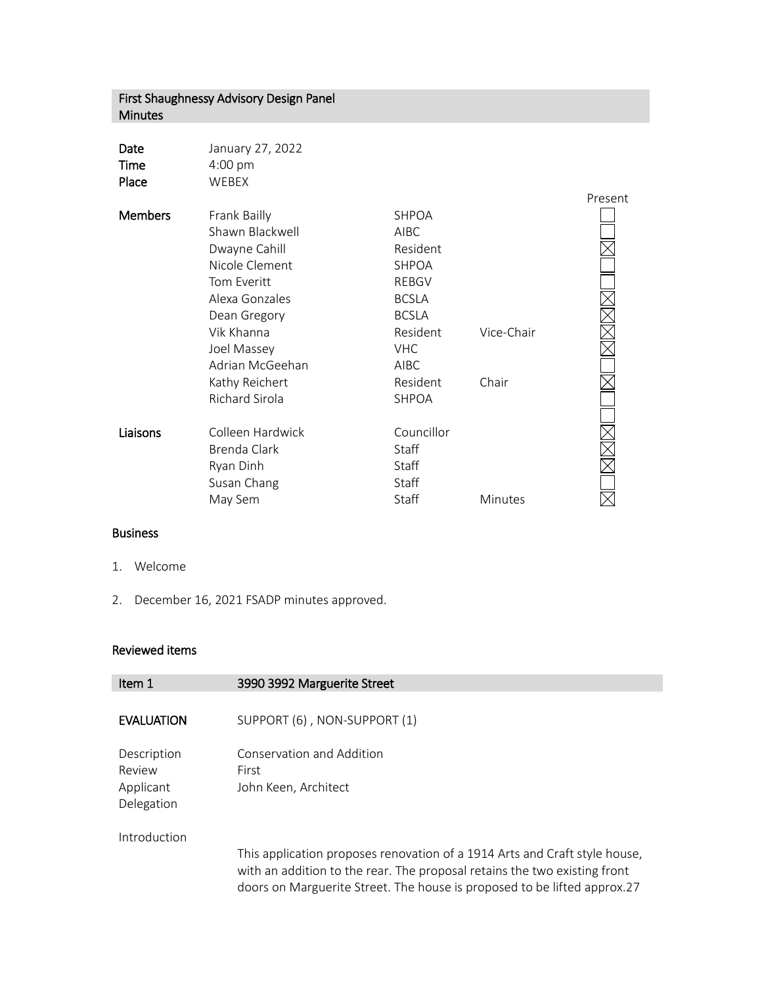## First Shaughnessy Advisory Design Panel Minutes

| Date  | January 27, 2022  |
|-------|-------------------|
| Time  | $4:00 \text{ pm}$ |
| Place | WFBFX             |

|                       |              |            | Present |
|-----------------------|--------------|------------|---------|
| Frank Bailly          | <b>SHPOA</b> |            |         |
| Shawn Blackwell       | <b>AIBC</b>  |            |         |
| Dwayne Cahill         | Resident     |            |         |
| Nicole Clement        | <b>SHPOA</b> |            |         |
| Tom Everitt           | <b>REBGV</b> |            |         |
| Alexa Gonzales        | <b>BCSLA</b> |            |         |
| Dean Gregory          | <b>BCSLA</b> |            |         |
| Vik Khanna            | Resident     | Vice-Chair |         |
| Joel Massey           | <b>VHC</b>   |            |         |
| Adrian McGeehan       | <b>AIBC</b>  |            |         |
| Kathy Reichert        | Resident     | Chair      |         |
| <b>Richard Sirola</b> | <b>SHPOA</b> |            |         |
|                       |              |            |         |
| Colleen Hardwick      | Councillor   |            |         |
| Brenda Clark          | Staff        |            |         |
| Ryan Dinh             | Staff        |            |         |
| Susan Chang           | Staff        |            |         |
| May Sem               | Staff        | Minutes    |         |
|                       |              |            |         |

## Business

- 1. Welcome
- 2. December 16, 2021 FSADP minutes approved.

## Reviewed items

| Item 1                                           | 3990 3992 Marguerite Street                                                                                                                                                                                                         |
|--------------------------------------------------|-------------------------------------------------------------------------------------------------------------------------------------------------------------------------------------------------------------------------------------|
| <b>EVALUATION</b>                                | SUPPORT (6), NON-SUPPORT (1)                                                                                                                                                                                                        |
| Description<br>Review<br>Applicant<br>Delegation | Conservation and Addition<br>First<br>John Keen, Architect                                                                                                                                                                          |
| Introduction                                     | This application proposes renovation of a 1914 Arts and Craft style house,<br>with an addition to the rear. The proposal retains the two existing front<br>doors on Marguerite Street. The house is proposed to be lifted approx.27 |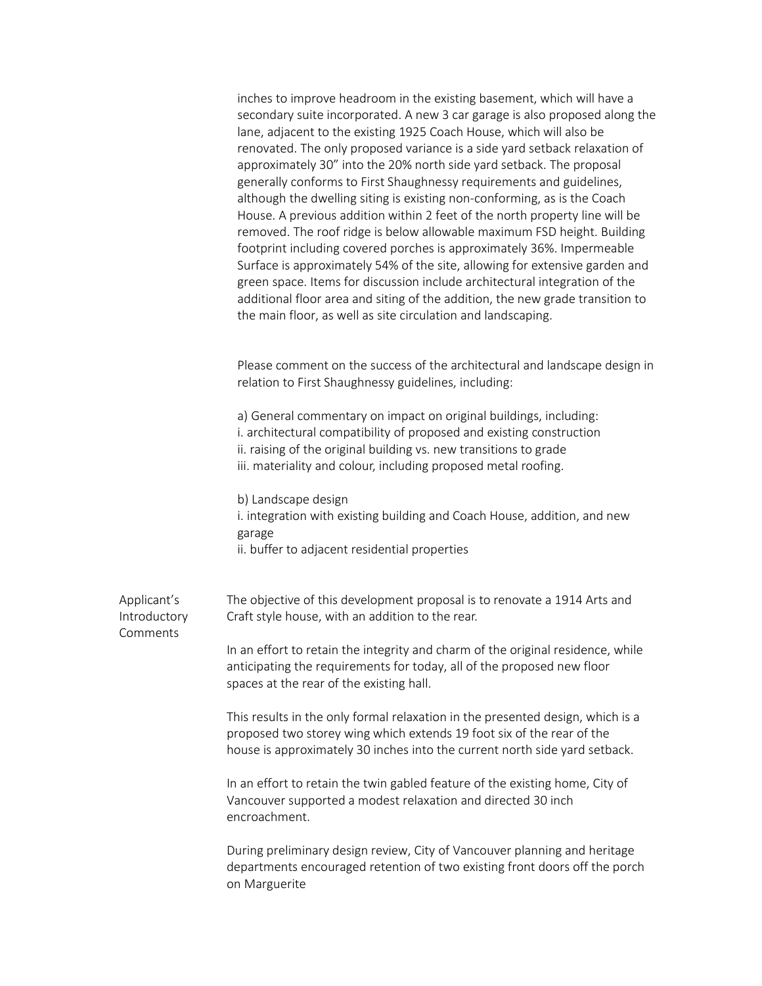|                                         | inches to improve headroom in the existing basement, which will have a<br>secondary suite incorporated. A new 3 car garage is also proposed along the<br>lane, adjacent to the existing 1925 Coach House, which will also be<br>renovated. The only proposed variance is a side yard setback relaxation of<br>approximately 30" into the 20% north side yard setback. The proposal<br>generally conforms to First Shaughnessy requirements and guidelines,<br>although the dwelling siting is existing non-conforming, as is the Coach<br>House. A previous addition within 2 feet of the north property line will be<br>removed. The roof ridge is below allowable maximum FSD height. Building<br>footprint including covered porches is approximately 36%. Impermeable<br>Surface is approximately 54% of the site, allowing for extensive garden and<br>green space. Items for discussion include architectural integration of the<br>additional floor area and siting of the addition, the new grade transition to<br>the main floor, as well as site circulation and landscaping. |
|-----------------------------------------|-----------------------------------------------------------------------------------------------------------------------------------------------------------------------------------------------------------------------------------------------------------------------------------------------------------------------------------------------------------------------------------------------------------------------------------------------------------------------------------------------------------------------------------------------------------------------------------------------------------------------------------------------------------------------------------------------------------------------------------------------------------------------------------------------------------------------------------------------------------------------------------------------------------------------------------------------------------------------------------------------------------------------------------------------------------------------------------------|
|                                         | Please comment on the success of the architectural and landscape design in<br>relation to First Shaughnessy guidelines, including:                                                                                                                                                                                                                                                                                                                                                                                                                                                                                                                                                                                                                                                                                                                                                                                                                                                                                                                                                      |
|                                         | a) General commentary on impact on original buildings, including:<br>i. architectural compatibility of proposed and existing construction<br>ii. raising of the original building vs. new transitions to grade<br>iii. materiality and colour, including proposed metal roofing.                                                                                                                                                                                                                                                                                                                                                                                                                                                                                                                                                                                                                                                                                                                                                                                                        |
|                                         | b) Landscape design<br>i. integration with existing building and Coach House, addition, and new<br>garage<br>ii. buffer to adjacent residential properties                                                                                                                                                                                                                                                                                                                                                                                                                                                                                                                                                                                                                                                                                                                                                                                                                                                                                                                              |
| Applicant's<br>Introductory<br>Comments | The objective of this development proposal is to renovate a 1914 Arts and<br>Craft style house, with an addition to the rear.                                                                                                                                                                                                                                                                                                                                                                                                                                                                                                                                                                                                                                                                                                                                                                                                                                                                                                                                                           |
|                                         | In an effort to retain the integrity and charm of the original residence, while<br>anticipating the requirements for today, all of the proposed new floor<br>spaces at the rear of the existing hall.                                                                                                                                                                                                                                                                                                                                                                                                                                                                                                                                                                                                                                                                                                                                                                                                                                                                                   |
|                                         | This results in the only formal relaxation in the presented design, which is a<br>proposed two storey wing which extends 19 foot six of the rear of the<br>house is approximately 30 inches into the current north side yard setback.                                                                                                                                                                                                                                                                                                                                                                                                                                                                                                                                                                                                                                                                                                                                                                                                                                                   |
|                                         | In an effort to retain the twin gabled feature of the existing home, City of<br>Vancouver supported a modest relaxation and directed 30 inch<br>encroachment.                                                                                                                                                                                                                                                                                                                                                                                                                                                                                                                                                                                                                                                                                                                                                                                                                                                                                                                           |
|                                         | During preliminary design review, City of Vancouver planning and heritage<br>departments encouraged retention of two existing front doors off the porch<br>on Marguerite                                                                                                                                                                                                                                                                                                                                                                                                                                                                                                                                                                                                                                                                                                                                                                                                                                                                                                                |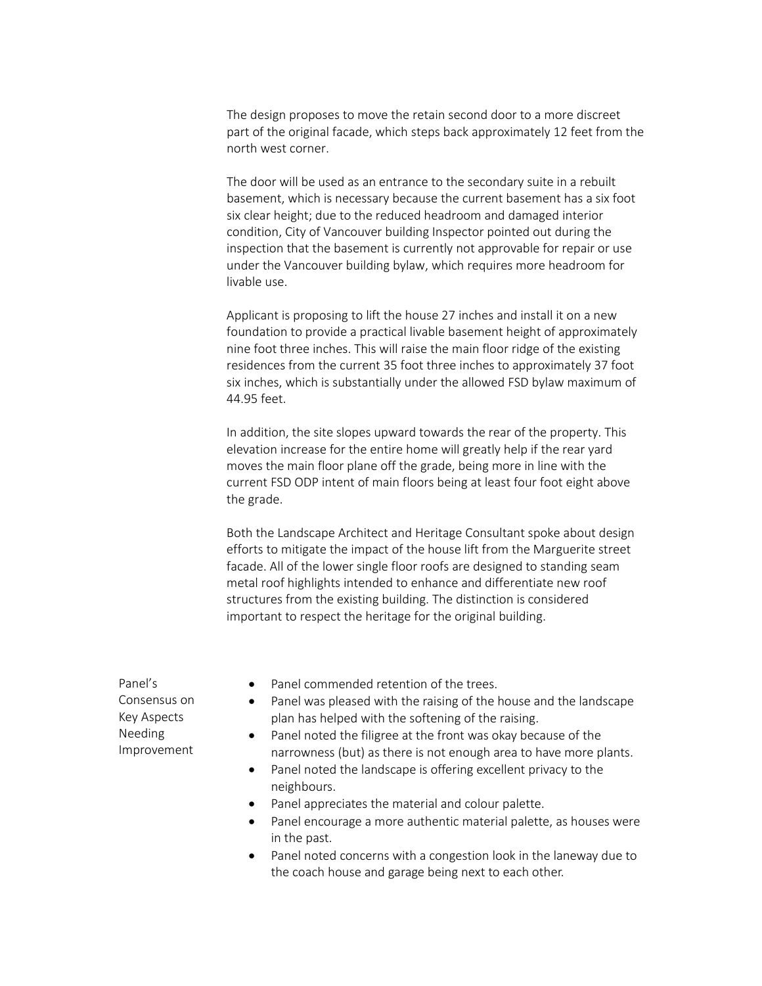The design proposes to move the retain second door to a more discreet part of the original facade, which steps back approximately 12 feet from the north west corner.

The door will be used as an entrance to the secondary suite in a rebuilt basement, which is necessary because the current basement has a six foot six clear height; due to the reduced headroom and damaged interior condition, City of Vancouver building Inspector pointed out during the inspection that the basement is currently not approvable for repair or use under the Vancouver building bylaw, which requires more headroom for livable use.

Applicant is proposing to lift the house 27 inches and install it on a new foundation to provide a practical livable basement height of approximately nine foot three inches. This will raise the main floor ridge of the existing residences from the current 35 foot three inches to approximately 37 foot six inches, which is substantially under the allowed FSD bylaw maximum of 44.95 feet.

In addition, the site slopes upward towards the rear of the property. This elevation increase for the entire home will greatly help if the rear yard moves the main floor plane off the grade, being more in line with the current FSD ODP intent of main floors being at least four foot eight above the grade.

Both the Landscape Architect and Heritage Consultant spoke about design efforts to mitigate the impact of the house lift from the Marguerite street facade. All of the lower single floor roofs are designed to standing seam metal roof highlights intended to enhance and differentiate new roof structures from the existing building. The distinction is considered important to respect the heritage for the original building.

Panel's Consensus on Key Aspects Needing Improvement

- Panel commended retention of the trees.
- Panel was pleased with the raising of the house and the landscape plan has helped with the softening of the raising.
- Panel noted the filigree at the front was okay because of the narrowness (but) as there is not enough area to have more plants.
- Panel noted the landscape is offering excellent privacy to the neighbours.
- Panel appreciates the material and colour palette.
- Panel encourage a more authentic material palette, as houses were in the past.
- Panel noted concerns with a congestion look in the laneway due to the coach house and garage being next to each other.